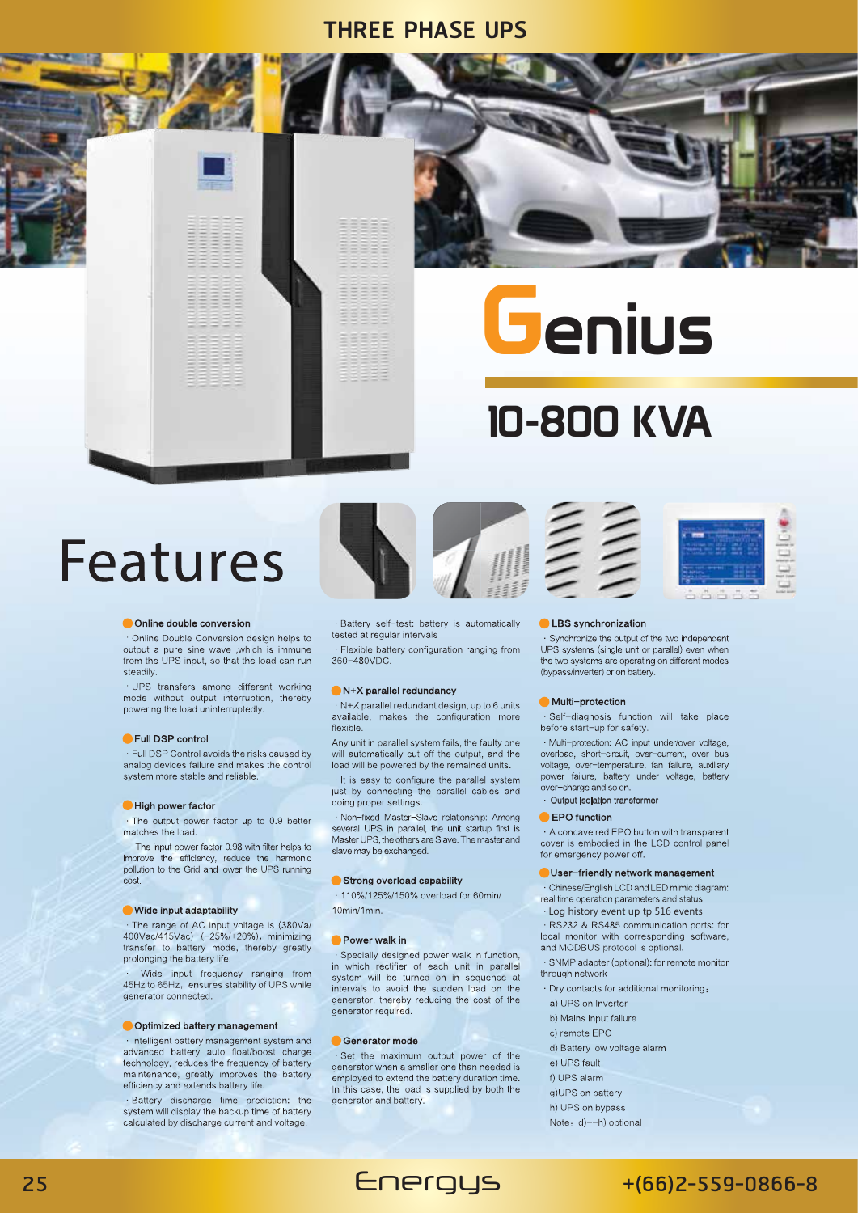# **THREE PHASE UPS**









#### Online double conversion

Online Double Conversion design helps to output a pure sine wave , which is immune from the UPS input, so that the load can run steadily.

· UPS transfers among different working mode without output interruption, thereby powering the load uninterruptedly

#### Full DSP control

. Full DSP Control avoids the risks caused by analog devices failure and makes the control system more stable and reliable

#### High nower factor

· The output power factor up to 0.9 better matches the load.

The input power factor 0.98 with filter helps to intermination 0.30 with little helps to<br>improve the efficiency, reduce the harmonic<br>pollution to the Grid and lower the UPS running cost.

#### ● Wide input adaptability

· The range of AC input voltage is (380Va/ 400Vac/415Vac) (-25%/+20%), minimizing transfer to battery mode, thereby greatly prolonging the battery life.

Wide input frequency ranging from 45Hz to 65Hz, ensures stability of UPS while generator connected.

#### Optimized battery management

· Intelligent battery management system and advanced battery auto float/boost charge technology, reduces the frequency of battery maintenance, greatly improves the battery efficiency and extends battery life.

· Battery discharge time prediction: the system will display the backup time of battery calculated by discharge current and voltage

· Battery self-test: battery is automatically tested at regular intervals

· Flexible battery configuration ranging from 360-480VDC

#### $\bullet$  N+X parallel redundancy

→ N+ K parallel redundant design, up to 6 units available, makes the configuration more flexible.

Any unit in parallel system fails, the faulty one will automatically cut off the output, and the load will be powered by the remained units.

· It is easy to configure the parallel system just by connecting the parallel cables and doing proper settings.

· Non-fixed Master-Slave relationship: Among several UPS in parallel, the unit startup first is Master UPS, the others are Slave. The master and slave may be exchanged.

#### Strong overload capability

· 110%/125%/150% overload for 60min/  $10min/1min$ 

#### Power walk in

· Specially designed power walk in function, in which rectifier of each unit in parallel system will be turned on in sequence at intervals to avoid the sudden load on the generator, thereby reducing the cost of the generator required.

#### Generator mode

· Set the maximum output power of the generator when a smaller one than needed is employed to extend the battery duration time. In this case, the load is supplied by both the generator and battery.

Energys



**G**enius

**10-800 KVA** 



#### LBS synchronization

· Synchronize the output of the two independent UPS systems (single unit or parallel) even when the two systems are operating on different modes (bypass/inverter) or on battery

### **Multi-protection**

· Self-diagnosis function will take place before start-up for safety.

· Multi-protection: AC input under/over voltage, overload, short-circuit, over-current, over bus<br>voltage, over-temperature, fan failure, auxiliary power failure, battery under voltage, battery over-charge and so on.

### Output isolation transformer

## **EPO** function

A concave red EPO button with transparent cover is embodied in the LCD control panel for emergency power off.

#### User-friendly network management

· Chinese/English LCD and LED mimic diagram: real time operation parameters and status

· Log history event up tp 516 events

· RS232 & RS485 communication ports: for local monitor with corresponding software, and MODBUS protocol is optional.

- · SNMP adapter (optional): for remote monitor
- through network
- · Dry contacts for additional monitoring:
- a) UPS on Inverter b) Mains input failure
- c) remote EPO
- d) Battery low voltage alarm
- e) UPS fault
- f) UPS alarm
- g)UPS on battery
- h) UPS on bypass
- Note: d)--h) optional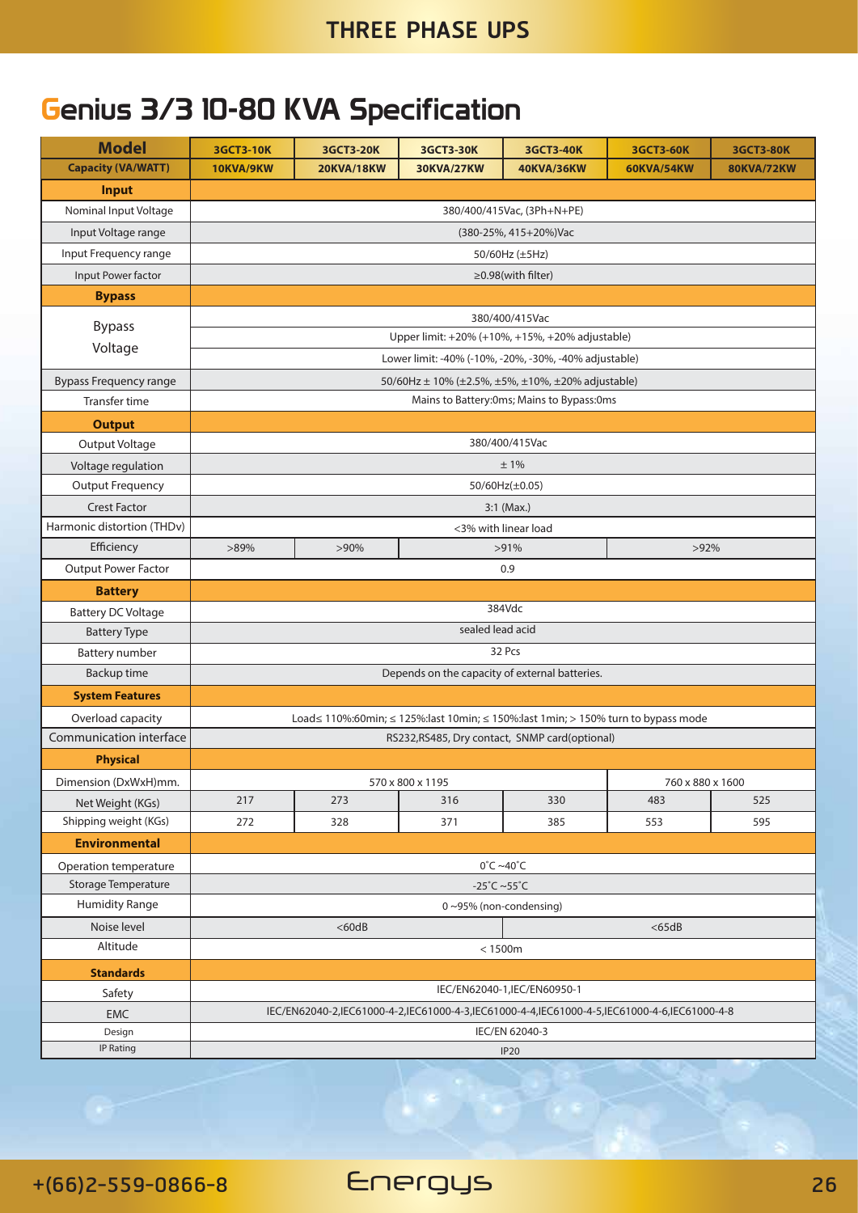# Genius 3/3 10-80 KVA Specification

| <b>Model</b>                  | <b>3GCT3-10K</b>                                                                            | <b>3GCT3-20K</b>  | <b>3GCT3-30K</b>  | 3GCT3-40K             | <b>3GCT3-60K</b>  | <b>3GCT3-80K</b>  |  |  |  |  |
|-------------------------------|---------------------------------------------------------------------------------------------|-------------------|-------------------|-----------------------|-------------------|-------------------|--|--|--|--|
| <b>Capacity (VA/WATT)</b>     | 10KVA/9KW                                                                                   | <b>20KVA/18KW</b> | <b>30KVA/27KW</b> | <b>40KVA/36KW</b>     | <b>60KVA/54KW</b> | <b>80KVA/72KW</b> |  |  |  |  |
| <b>Input</b>                  |                                                                                             |                   |                   |                       |                   |                   |  |  |  |  |
| Nominal Input Voltage         | 380/400/415Vac, (3Ph+N+PE)                                                                  |                   |                   |                       |                   |                   |  |  |  |  |
| Input Voltage range           |                                                                                             |                   |                   | (380-25%, 415+20%)Vac |                   |                   |  |  |  |  |
| Input Frequency range         |                                                                                             |                   |                   | 50/60Hz (±5Hz)        |                   |                   |  |  |  |  |
| Input Power factor            | ≥0.98(with filter)                                                                          |                   |                   |                       |                   |                   |  |  |  |  |
| <b>Bypass</b>                 |                                                                                             |                   |                   |                       |                   |                   |  |  |  |  |
| <b>Bypass</b>                 | 380/400/415Vac                                                                              |                   |                   |                       |                   |                   |  |  |  |  |
| Voltage                       | Upper limit: +20% (+10%, +15%, +20% adjustable)                                             |                   |                   |                       |                   |                   |  |  |  |  |
|                               | Lower limit: -40% (-10%, -20%, -30%, -40% adjustable)                                       |                   |                   |                       |                   |                   |  |  |  |  |
| <b>Bypass Frequency range</b> | 50/60Hz ± 10% (±2.5%, ±5%, ±10%, ±20% adjustable)                                           |                   |                   |                       |                   |                   |  |  |  |  |
| Transfer time                 | Mains to Battery: 0ms; Mains to Bypass: 0ms                                                 |                   |                   |                       |                   |                   |  |  |  |  |
| <b>Output</b>                 |                                                                                             |                   |                   |                       |                   |                   |  |  |  |  |
| Output Voltage                | 380/400/415Vac                                                                              |                   |                   |                       |                   |                   |  |  |  |  |
| Voltage regulation            | ±1%                                                                                         |                   |                   |                       |                   |                   |  |  |  |  |
| <b>Output Frequency</b>       | 50/60Hz(±0.05)                                                                              |                   |                   |                       |                   |                   |  |  |  |  |
| <b>Crest Factor</b>           | $3:1$ (Max.)                                                                                |                   |                   |                       |                   |                   |  |  |  |  |
| Harmonic distortion (THDv)    | <3% with linear load                                                                        |                   |                   |                       |                   |                   |  |  |  |  |
| Efficiency                    | $>89\%$<br>$>90\%$<br>$>91\%$<br>$>92\%$                                                    |                   |                   |                       |                   |                   |  |  |  |  |
| <b>Output Power Factor</b>    | 0.9                                                                                         |                   |                   |                       |                   |                   |  |  |  |  |
| <b>Battery</b>                |                                                                                             |                   |                   |                       |                   |                   |  |  |  |  |
| <b>Battery DC Voltage</b>     | 384Vdc                                                                                      |                   |                   |                       |                   |                   |  |  |  |  |
| <b>Battery Type</b>           | sealed lead acid                                                                            |                   |                   |                       |                   |                   |  |  |  |  |
| Battery number                | 32 Pcs                                                                                      |                   |                   |                       |                   |                   |  |  |  |  |
| Backup time                   | Depends on the capacity of external batteries.                                              |                   |                   |                       |                   |                   |  |  |  |  |
| <b>System Features</b>        |                                                                                             |                   |                   |                       |                   |                   |  |  |  |  |
| Overload capacity             | Load≤ 110%:60min; ≤ 125%:last 10min; ≤ 150%:last 1min; > 150% turn to bypass mode           |                   |                   |                       |                   |                   |  |  |  |  |
| Communication interface       | RS232, RS485, Dry contact, SNMP card(optional)                                              |                   |                   |                       |                   |                   |  |  |  |  |
| <b>Physical</b>               |                                                                                             |                   |                   |                       |                   |                   |  |  |  |  |
| Dimension (DxWxH)mm.          |                                                                                             | 570 x 800 x 1195  | 760 x 880 x 1600  |                       |                   |                   |  |  |  |  |
| Net Weight (KGs)              | 217                                                                                         | 273               | 316               | 330                   | 483               | 525               |  |  |  |  |
| Shipping weight (KGs)         | 272                                                                                         | 328               | 371               | 385                   | 553               | 595               |  |  |  |  |
| <b>Environmental</b>          |                                                                                             |                   |                   |                       |                   |                   |  |  |  |  |
| Operation temperature         | $0^{\circ}$ C ~40 $^{\circ}$ C                                                              |                   |                   |                       |                   |                   |  |  |  |  |
| Storage Temperature           | $-25^{\circ}$ C ~55 $^{\circ}$ C                                                            |                   |                   |                       |                   |                   |  |  |  |  |
| <b>Humidity Range</b>         | 0~95% (non-condensing)                                                                      |                   |                   |                       |                   |                   |  |  |  |  |
| Noise level                   | $<$ 60dB<br>$<$ 65dB                                                                        |                   |                   |                       |                   |                   |  |  |  |  |
| Altitude                      | $<1500m$                                                                                    |                   |                   |                       |                   |                   |  |  |  |  |
| <b>Standards</b>              |                                                                                             |                   |                   |                       |                   |                   |  |  |  |  |
| Safety                        | IEC/EN62040-1, IEC/EN60950-1                                                                |                   |                   |                       |                   |                   |  |  |  |  |
| <b>EMC</b>                    | IEC/EN62040-2,IEC61000-4-2,IEC61000-4-3,IEC61000-4-4,IEC61000-4-5,IEC61000-4-6,IEC61000-4-8 |                   |                   |                       |                   |                   |  |  |  |  |
| Design                        | IEC/EN 62040-3                                                                              |                   |                   |                       |                   |                   |  |  |  |  |
| IP Rating                     | IP20                                                                                        |                   |                   |                       |                   |                   |  |  |  |  |